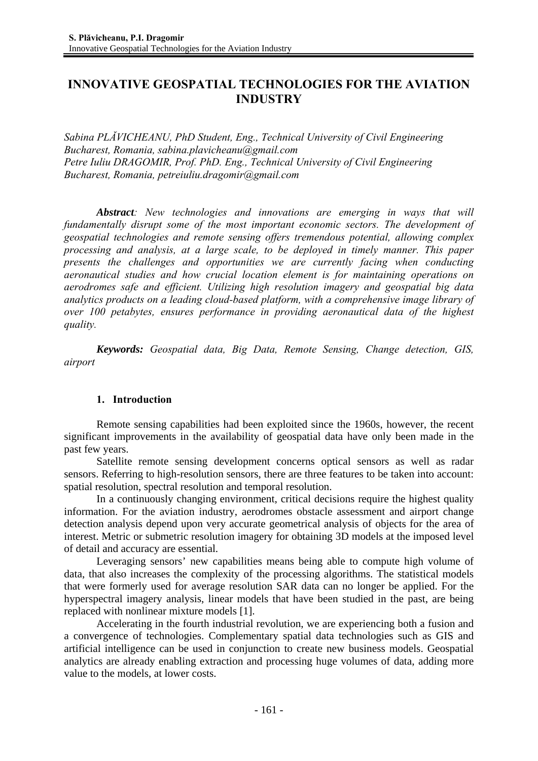# **INNOVATIVE GEOSPATIAL TECHNOLOGIES FOR THE AVIATION INDUSTRY**

*Sabina PLĂVICHEANU, PhD Student, Eng., Technical University of Civil Engineering Bucharest, Romania, sabina.plavicheanu@gmail.com Petre Iuliu DRAGOMIR, Prof. PhD. Eng., Technical University of Civil Engineering Bucharest, Romania, petreiuliu.dragomir@gmail.com* 

*Abstract: New technologies and innovations are emerging in ways that will fundamentally disrupt some of the most important economic sectors. The development of geospatial technologies and remote sensing offers tremendous potential, allowing complex processing and analysis, at a large scale, to be deployed in timely manner. This paper presents the challenges and opportunities we are currently facing when conducting aeronautical studies and how crucial location element is for maintaining operations on aerodromes safe and efficient. Utilizing high resolution imagery and geospatial big data analytics products on a leading cloud-based platform, with a comprehensive image library of over 100 petabytes, ensures performance in providing aeronautical data of the highest quality.* 

*Keywords: Geospatial data, Big Data, Remote Sensing, Change detection, GIS, airport*

## **1. Introduction**

Remote sensing capabilities had been exploited since the 1960s, however, the recent significant improvements in the availability of geospatial data have only been made in the past few years.

Satellite remote sensing development concerns optical sensors as well as radar sensors. Referring to high-resolution sensors, there are three features to be taken into account: spatial resolution, spectral resolution and temporal resolution.

In a continuously changing environment, critical decisions require the highest quality information. For the aviation industry, aerodromes obstacle assessment and airport change detection analysis depend upon very accurate geometrical analysis of objects for the area of interest. Metric or submetric resolution imagery for obtaining 3D models at the imposed level of detail and accuracy are essential.

Leveraging sensors' new capabilities means being able to compute high volume of data, that also increases the complexity of the processing algorithms. The statistical models that were formerly used for average resolution SAR data can no longer be applied. For the hyperspectral imagery analysis, linear models that have been studied in the past, are being replaced with nonlinear mixture models [1].

Accelerating in the fourth industrial revolution, we are experiencing both a fusion and a convergence of technologies. Complementary spatial data technologies such as GIS and artificial intelligence can be used in conjunction to create new business models. Geospatial analytics are already enabling extraction and processing huge volumes of data, adding more value to the models, at lower costs.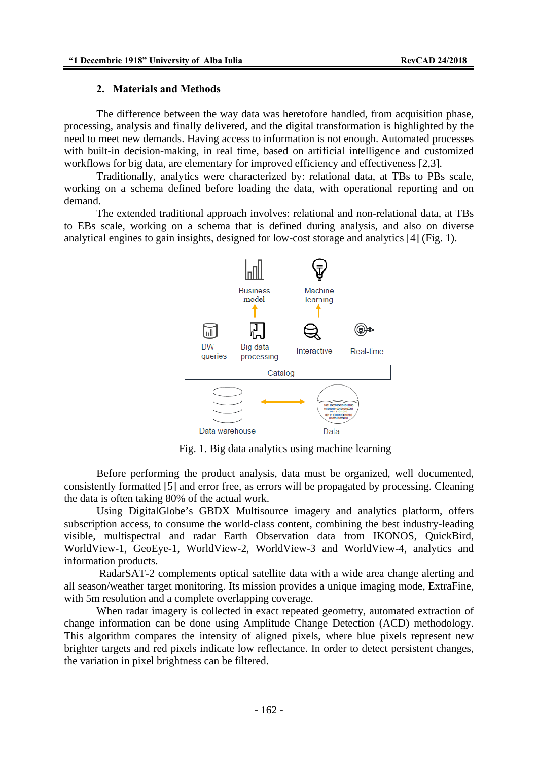#### **2. Materials and Methods**

The difference between the way data was heretofore handled, from acquisition phase, processing, analysis and finally delivered, and the digital transformation is highlighted by the need to meet new demands. Having access to information is not enough. Automated processes with built-in decision-making, in real time, based on artificial intelligence and customized workflows for big data, are elementary for improved efficiency and effectiveness [2,3].

Traditionally, analytics were characterized by: relational data, at TBs to PBs scale, working on a schema defined before loading the data, with operational reporting and on demand.

The extended traditional approach involves: relational and non-relational data, at TBs to EBs scale, working on a schema that is defined during analysis, and also on diverse analytical engines to gain insights, designed for low-cost storage and analytics [4] (Fig. 1).



Fig. 1. Big data analytics using machine learning

Before performing the product analysis, data must be organized, well documented, consistently formatted [5] and error free, as errors will be propagated by processing. Cleaning the data is often taking 80% of the actual work.

Using DigitalGlobe's GBDX Multisource imagery and analytics platform, offers subscription access, to consume the world-class content, combining the best industry-leading visible, multispectral and radar Earth Observation data from IKONOS, QuickBird, WorldView-1, GeoEye-1, WorldView-2, WorldView-3 and WorldView-4, analytics and information products.

 RadarSAT-2 complements optical satellite data with a wide area change alerting and all season/weather target monitoring. Its mission provides a unique imaging mode, ExtraFine, with 5m resolution and a complete overlapping coverage.

When radar imagery is collected in exact repeated geometry, automated extraction of change information can be done using Amplitude Change Detection (ACD) methodology. This algorithm compares the intensity of aligned pixels, where blue pixels represent new brighter targets and red pixels indicate low reflectance. In order to detect persistent changes, the variation in pixel brightness can be filtered.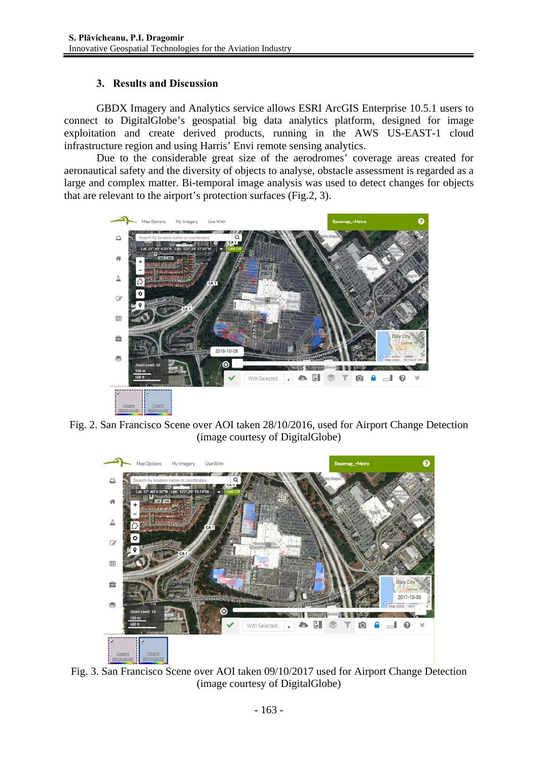## **3. Results and Discussion**

GBDX Imagery and Analytics service allows ESRI ArcGIS Enterprise 10.5.1 users to connect to DigitalGlobe's geospatial big data analytics platform, designed for image exploitation and create derived products, running in the AWS US-EAST-1 cloud infrastructure region and using Harris' Envi remote sensing analytics.

Due to the considerable great size of the aerodromes' coverage areas created for aeronautical safety and the diversity of objects to analyse, obstacle assessment is regarded as a large and complex matter. Bi-temporal image analysis was used to detect changes for objects that are relevant to the airport's protection surfaces (Fig.2, 3).



Fig. 2. San Francisco Scene over AOI taken 28/10/2016, used for Airport Change Detection (image courtesy of DigitalGlobe)



Fig. 3. San Francisco Scene over AOI taken 09/10/2017 used for Airport Change Detection (image courtesy of DigitalGlobe)